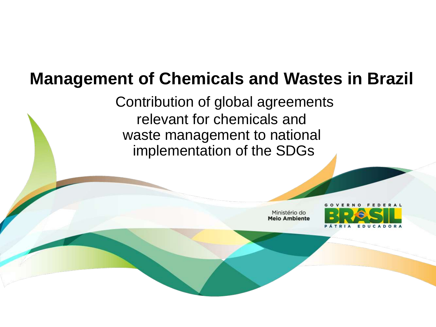# **Management of Chemicals and Wastes in Brazil**

Contribution of global agreements relevant for chemicals and waste management to national implementation of the SDGs

> Ministério do **Meio Ambiente**

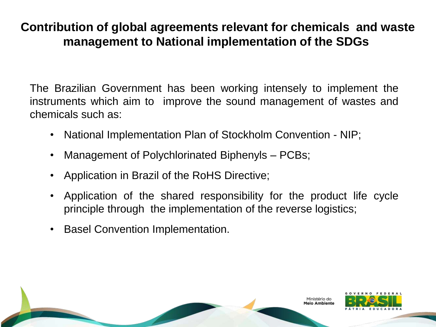### **Contribution of global agreements relevant for chemicals and waste management to National implementation of the SDGs**

The Brazilian Government has been working intensely to implement the instruments which aim to improve the sound management of wastes and chemicals such as:

- National Implementation Plan of Stockholm Convention NIP;
- Management of Polychlorinated Biphenyls PCBs;
- Application in Brazil of the RoHS Directive;
- Application of the shared responsibility for the product life cycle principle through the implementation of the reverse logistics;
- Basel Convention Implementation.

1inistério do

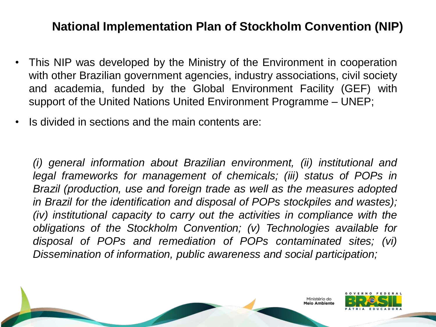### **National Implementation Plan of Stockholm Convention (NIP)**

- This NIP was developed by the Ministry of the Environment in cooperation with other Brazilian government agencies, industry associations, civil society and academia, funded by the Global Environment Facility (GEF) with support of the United Nations United Environment Programme – UNEP;
- Is divided in sections and the main contents are:

*(i) general information about Brazilian environment, (ii) institutional and legal frameworks for management of chemicals; (iii) status of POPs in Brazil (production, use and foreign trade as well as the measures adopted in Brazil for the identification and disposal of POPs stockpiles and wastes); (iv) institutional capacity to carry out the activities in compliance with the obligations of the Stockholm Convention; (v) Technologies available for disposal of POPs and remediation of POPs contaminated sites; (vi) Dissemination of information, public awareness and social participation;*

linistério do

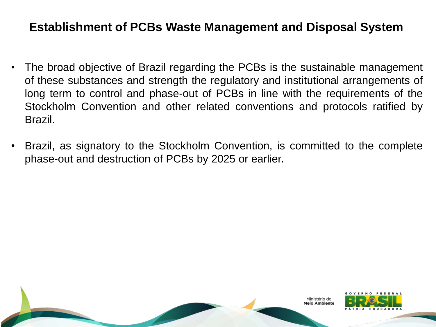### **Establishment of PCBs Waste Management and Disposal System**

- The broad objective of Brazil regarding the PCBs is the sustainable management of these substances and strength the regulatory and institutional arrangements of long term to control and phase-out of PCBs in line with the requirements of the Stockholm Convention and other related conventions and protocols ratified by Brazil.
- Brazil, as signatory to the Stockholm Convention, is committed to the complete phase-out and destruction of PCBs by 2025 or earlier.

inistério do eio Ambientr

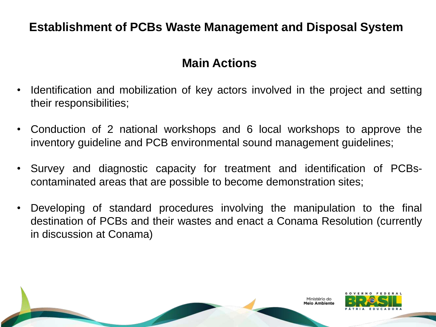### **Establishment of PCBs Waste Management and Disposal System**

### **Main Actions**

- Identification and mobilization of key actors involved in the project and setting their responsibilities;
- Conduction of 2 national workshops and 6 local workshops to approve the inventory guideline and PCB environmental sound management guidelines;
- Survey and diagnostic capacity for treatment and identification of PCBscontaminated areas that are possible to become demonstration sites;
- Developing of standard procedures involving the manipulation to the final destination of PCBs and their wastes and enact a Conama Resolution (currently in discussion at Conama)

inistério do

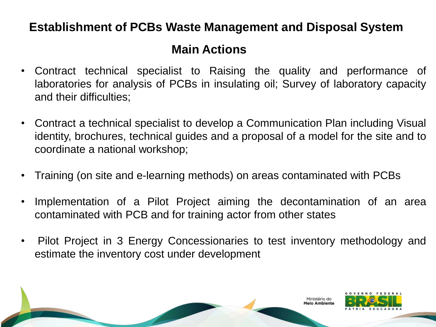### **Establishment of PCBs Waste Management and Disposal System**

## **Main Actions**

- Contract technical specialist to Raising the quality and performance of laboratories for analysis of PCBs in insulating oil; Survey of laboratory capacity and their difficulties;
- Contract a technical specialist to develop a Communication Plan including Visual identity, brochures, technical guides and a proposal of a model for the site and to coordinate a national workshop;
- Training (on site and e-learning methods) on areas contaminated with PCBs
- Implementation of a Pilot Project aiming the decontamination of an area contaminated with PCB and for training actor from other states
- Pilot Project in 3 Energy Concessionaries to test inventory methodology and estimate the inventory cost under development

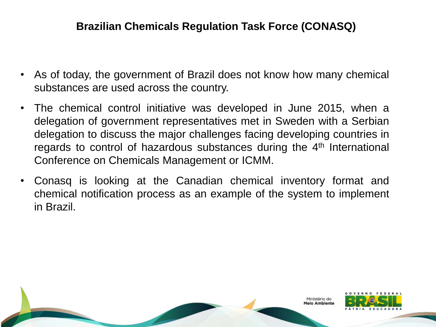#### **Brazilian Chemicals Regulation Task Force (CONASQ)**

- As of today, the government of Brazil does not know how many chemical substances are used across the country.
- The chemical control initiative was developed in June 2015, when a delegation of government representatives met in Sweden with a Serbian delegation to discuss the major challenges facing developing countries in regards to control of hazardous substances during the 4<sup>th</sup> International Conference on Chemicals Management or ICMM.
- Conasq is looking at the Canadian chemical inventory format and chemical notification process as an example of the system to implement in Brazil.

Ministério do leio Amhiente

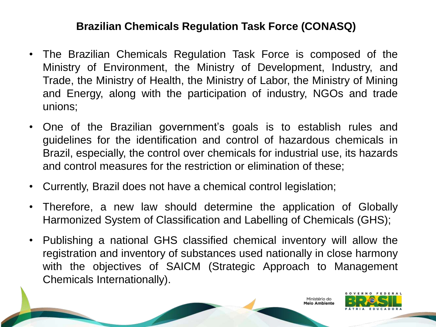#### **Brazilian Chemicals Regulation Task Force (CONASQ)**

- The Brazilian Chemicals Regulation Task Force is composed of the Ministry of Environment, the Ministry of Development, Industry, and Trade, the Ministry of Health, the Ministry of Labor, the Ministry of Mining and Energy, along with the participation of industry, NGOs and trade unions;
- One of the Brazilian government's goals is to establish rules and guidelines for the identification and control of hazardous chemicals in Brazil, especially, the control over chemicals for industrial use, its hazards and control measures for the restriction or elimination of these;
- Currently, Brazil does not have a chemical control legislation;
- Therefore, a new law should determine the application of Globally Harmonized System of Classification and Labelling of Chemicals (GHS);
- Publishing a national GHS classified chemical inventory will allow the registration and inventory of substances used nationally in close harmony with the objectives of SAICM (Strategic Approach to Management Chemicals Internationally).

Ministério do eio Ambiente

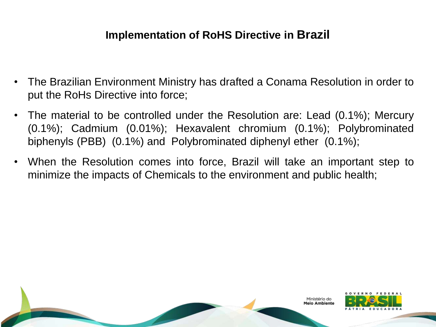### **Implementation of RoHS Directive in Brazil**

- The Brazilian Environment Ministry has drafted a Conama Resolution in order to put the RoHs Directive into force;
- The material to be controlled under the Resolution are: Lead (0.1%); Mercury (0.1%); Cadmium (0.01%); Hexavalent chromium (0.1%); Polybrominated biphenyls (PBB) (0.1%) and Polybrominated diphenyl ether (0.1%);
- When the Resolution comes into force, Brazil will take an important step to minimize the impacts of Chemicals to the environment and public health;

Ministério do leio Ambiente

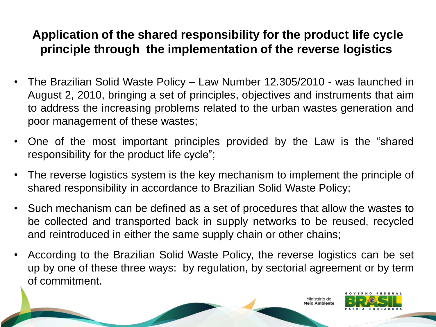## **Application of the shared responsibility for the product life cycle principle through the implementation of the reverse logistics**

- The Brazilian Solid Waste Policy Law Number 12.305/2010 was launched in August 2, 2010, bringing a set of principles, objectives and instruments that aim to address the increasing problems related to the urban wastes generation and poor management of these wastes;
- One of the most important principles provided by the Law is the "shared responsibility for the product life cycle";
- The reverse logistics system is the key mechanism to implement the principle of shared responsibility in accordance to Brazilian Solid Waste Policy;
- Such mechanism can be defined as a set of procedures that allow the wastes to be collected and transported back in supply networks to be reused, recycled and reintroduced in either the same supply chain or other chains;
- According to the Brazilian Solid Waste Policy, the reverse logistics can be set up by one of these three ways: by regulation, by sectorial agreement or by term of commitment.

tério do

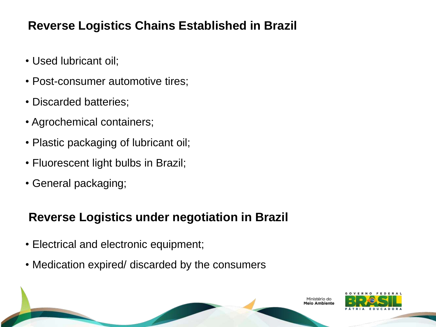### **Reverse Logistics Chains Established in Brazil**

- Used lubricant oil;
- Post-consumer automotive tires;
- Discarded batteries;
- Agrochemical containers;
- Plastic packaging of lubricant oil;
- Fluorescent light bulbs in Brazil;
- General packaging;

# **Reverse Logistics under negotiation in Brazil**

- Electrical and electronic equipment;
- Medication expired/ discarded by the consumers

inistério do